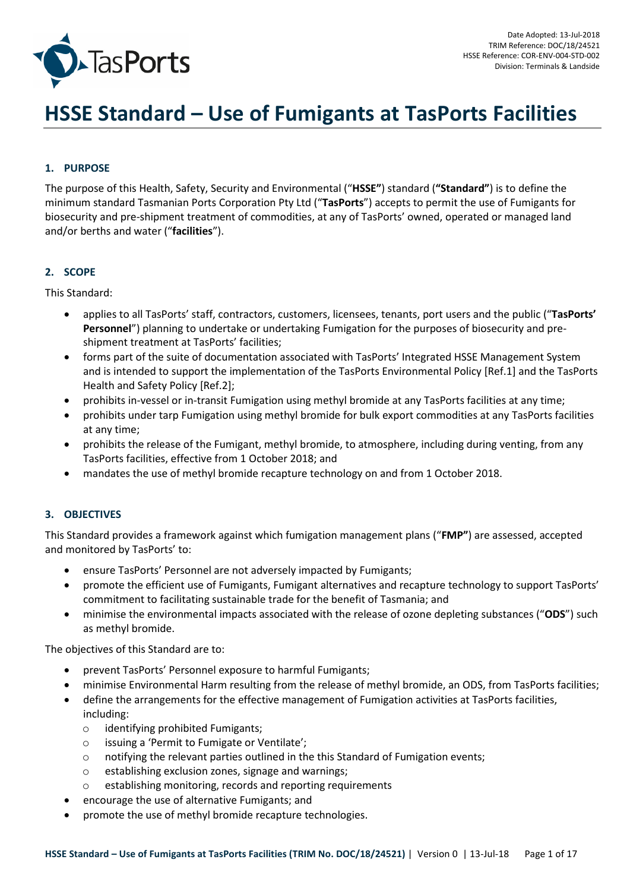

# **HSSE Standard – Use of Fumigants at TasPorts Facilities**

# **1. PURPOSE**

The purpose of this Health, Safety, Security and Environmental ("**HSSE"**) standard (**"Standard"**) is to define the minimum standard Tasmanian Ports Corporation Pty Ltd ("**TasPorts**") accepts to permit the use of Fumigants for biosecurity and pre-shipment treatment of commodities, at any of TasPorts' owned, operated or managed land and/or berths and water ("**facilities**").

## **2. SCOPE**

This Standard:

- applies to all TasPorts' staff, contractors, customers, licensees, tenants, port users and the public ("**TasPorts' Personnel**") planning to undertake or undertaking Fumigation for the purposes of biosecurity and preshipment treatment at TasPorts' facilities;
- forms part of the suite of documentation associated with TasPorts' Integrated HSSE Management System and is intended to support the implementation of the TasPorts Environmental Policy [Ref.1] and the TasPorts Health and Safety Policy [Ref.2];
- prohibits in-vessel or in-transit Fumigation using methyl bromide at any TasPorts facilities at any time;
- prohibits under tarp Fumigation using methyl bromide for bulk export commodities at any TasPorts facilities at any time;
- prohibits the release of the Fumigant, methyl bromide, to atmosphere, including during venting, from any TasPorts facilities, effective from 1 October 2018; and
- mandates the use of methyl bromide recapture technology on and from 1 October 2018.

## **3. OBJECTIVES**

This Standard provides a framework against which fumigation management plans ("**FMP"**) are assessed, accepted and monitored by TasPorts' to:

- ensure TasPorts' Personnel are not adversely impacted by Fumigants;
- promote the efficient use of Fumigants, Fumigant alternatives and recapture technology to support TasPorts' commitment to facilitating sustainable trade for the benefit of Tasmania; and
- minimise the environmental impacts associated with the release of ozone depleting substances ("**ODS**") such as methyl bromide.

The objectives of this Standard are to:

- prevent TasPorts' Personnel exposure to harmful Fumigants;
- minimise Environmental Harm resulting from the release of methyl bromide, an ODS, from TasPorts facilities;
- define the arrangements for the effective management of Fumigation activities at TasPorts facilities, including:
	- o identifying prohibited Fumigants;
	- o issuing a 'Permit to Fumigate or Ventilate';
	- o notifying the relevant parties outlined in the this Standard of Fumigation events;
	- o establishing exclusion zones, signage and warnings;
	- o establishing monitoring, records and reporting requirements
- encourage the use of alternative Fumigants; and
- promote the use of methyl bromide recapture technologies.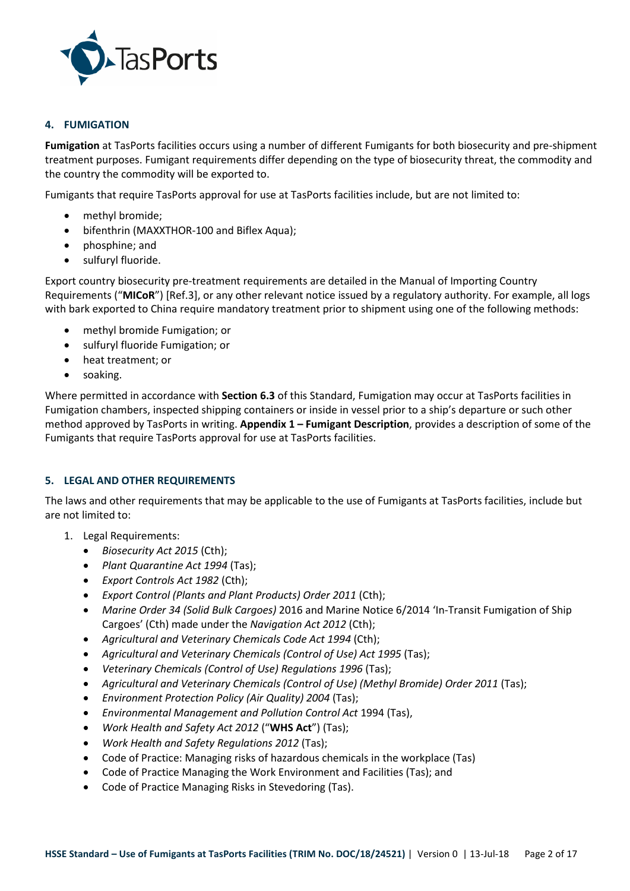

## **4. FUMIGATION**

**Fumigation** at TasPorts facilities occurs using a number of different Fumigants for both biosecurity and pre-shipment treatment purposes. Fumigant requirements differ depending on the type of biosecurity threat, the commodity and the country the commodity will be exported to.

Fumigants that require TasPorts approval for use at TasPorts facilities include, but are not limited to:

- methyl bromide;
- bifenthrin (MAXXTHOR-100 and Biflex Aqua);
- phosphine; and
- sulfuryl fluoride.

Export country biosecurity pre-treatment requirements are detailed in the Manual of Importing Country Requirements ("**MICoR**") [Ref.3], or any other relevant notice issued by a regulatory authority. For example, all logs with bark exported to China require mandatory treatment prior to shipment using one of the following methods:

- methyl bromide Fumigation; or
- sulfuryl fluoride Fumigation; or
- heat treatment; or
- soaking.

Where permitted in accordance with **Section 6.3** of this Standard, Fumigation may occur at TasPorts facilities in Fumigation chambers, inspected shipping containers or inside in vessel prior to a ship's departure or such other method approved by TasPorts in writing. **Appendix 1 – Fumigant Description**, provides a description of some of the Fumigants that require TasPorts approval for use at TasPorts facilities.

## **5. LEGAL AND OTHER REQUIREMENTS**

The laws and other requirements that may be applicable to the use of Fumigants at TasPorts facilities, include but are not limited to:

- 1. Legal Requirements:
	- *Biosecurity Act 2015* (Cth);
	- *Plant Quarantine Act 1994* (Tas);
	- *Export Controls Act 1982* (Cth);
	- *Export Control (Plants and Plant Products) Order 2011* (Cth);
	- *Marine Order 34 (Solid Bulk Cargoes)* 2016 and Marine Notice 6/2014 'In-Transit Fumigation of Ship Cargoes' (Cth) made under the *Navigation Act 2012* (Cth);
	- *Agricultural and Veterinary Chemicals Code Act 1994* (Cth);
	- *Agricultural and Veterinary Chemicals (Control of Use) Act 1995* (Tas);
	- *Veterinary Chemicals (Control of Use) Regulations 1996* (Tas);
	- *Agricultural and Veterinary Chemicals (Control of Use) (Methyl Bromide) Order 2011* (Tas);
	- *Environment Protection Policy (Air Quality) 2004* (Tas);
	- *Environmental Management and Pollution Control Act* 1994 (Tas),
	- *Work Health and Safety Act 2012* ("**WHS Act**") (Tas);
	- *Work Health and Safety Regulations 2012* (Tas);
	- Code of Practice: Managing risks of hazardous chemicals in the workplace (Tas)
	- Code of Practice Managing the Work Environment and Facilities (Tas); and
	- Code of Practice Managing Risks in Stevedoring (Tas).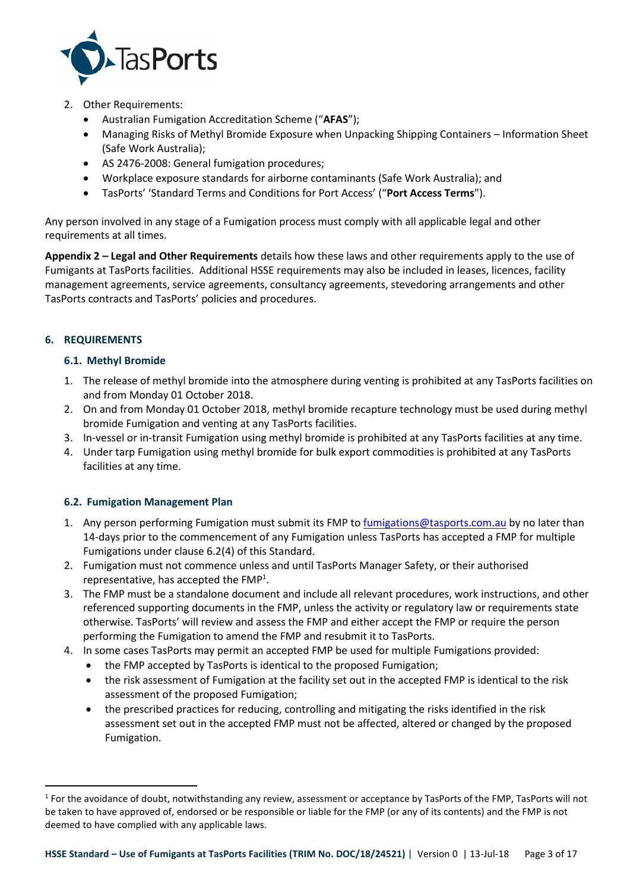

- 2. Other Requirements:
	- Australian Fumigation Accreditation Scheme ("**AFAS**");
	- Managing Risks of Methyl Bromide Exposure when Unpacking Shipping Containers Information Sheet (Safe Work Australia);
	- AS 2476-2008: General fumigation procedures;
	- Workplace exposure standards for airborne contaminants (Safe Work Australia); and
	- TasPorts' 'Standard Terms and Conditions for Port Access' ("**Port Access Terms**").

Any person involved in any stage of a Fumigation process must comply with all applicable legal and other requirements at all times.

**Appendix 2 – Legal and Other Requirements** details how these laws and other requirements apply to the use of Fumigants at TasPorts facilities. Additional HSSE requirements may also be included in leases, licences, facility management agreements, service agreements, consultancy agreements, stevedoring arrangements and other TasPorts contracts and TasPorts' policies and procedures.

# **6. REQUIREMENTS**

l

# **6.1. Methyl Bromide**

- 1. The release of methyl bromide into the atmosphere during venting is prohibited at any TasPorts facilities on and from Monday 01 October 2018.
- 2. On and from Monday 01 October 2018, methyl bromide recapture technology must be used during methyl bromide Fumigation and venting at any TasPorts facilities.
- 3. In-vessel or in-transit Fumigation using methyl bromide is prohibited at any TasPorts facilities at any time.
- 4. Under tarp Fumigation using methyl bromide for bulk export commodities is prohibited at any TasPorts facilities at any time.

## **6.2. Fumigation Management Plan**

- 1. Any person performing Fumigation must submit its FMP to fumigations@tasports.com.au by no later than 14-days prior to the commencement of any Fumigation unless TasPorts has accepted a FMP for multiple Fumigations under clause 6.2(4) of this Standard.
- 2. Fumigation must not commence unless and until TasPorts Manager Safety, or their authorised representative, has accepted the  $FMP<sup>1</sup>$ .
- 3. The FMP must be a standalone document and include all relevant procedures, work instructions, and other referenced supporting documents in the FMP, unless the activity or regulatory law or requirements state otherwise. TasPorts' will review and assess the FMP and either accept the FMP or require the person performing the Fumigation to amend the FMP and resubmit it to TasPorts.
- 4. In some cases TasPorts may permit an accepted FMP be used for multiple Fumigations provided:
	- the FMP accepted by TasPorts is identical to the proposed Fumigation;
	- the risk assessment of Fumigation at the facility set out in the accepted FMP is identical to the risk assessment of the proposed Fumigation;
	- the prescribed practices for reducing, controlling and mitigating the risks identified in the risk assessment set out in the accepted FMP must not be affected, altered or changed by the proposed Fumigation.

<sup>&</sup>lt;sup>1</sup> For the avoidance of doubt, notwithstanding any review, assessment or acceptance by TasPorts of the FMP, TasPorts will not be taken to have approved of, endorsed or be responsible or liable for the FMP (or any of its contents) and the FMP is not deemed to have complied with any applicable laws.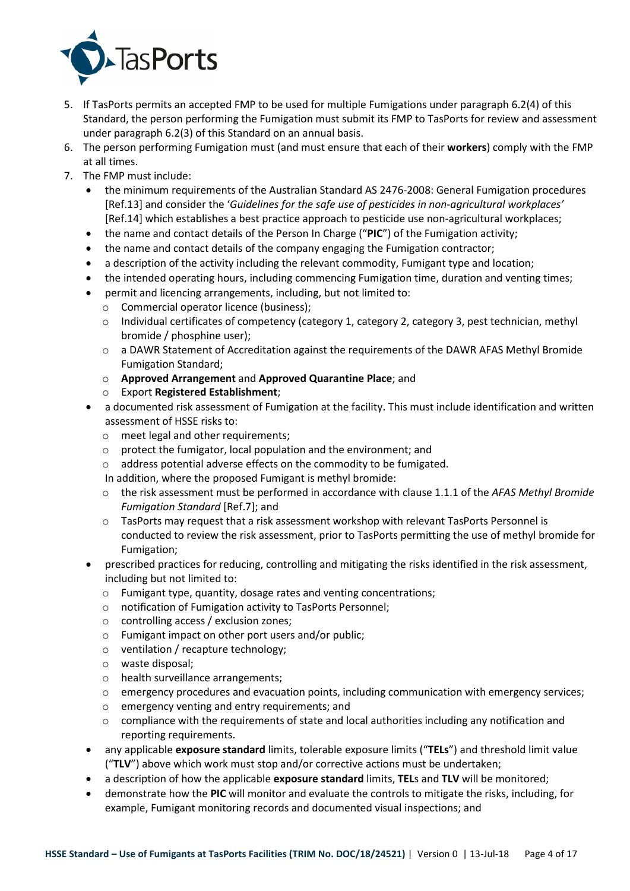

- 5. If TasPorts permits an accepted FMP to be used for multiple Fumigations under paragraph 6.2(4) of this Standard, the person performing the Fumigation must submit its FMP to TasPorts for review and assessment under paragraph 6.2(3) of this Standard on an annual basis.
- 6. The person performing Fumigation must (and must ensure that each of their **workers**) comply with the FMP at all times.
- 7. The FMP must include:
	- the minimum requirements of the Australian Standard AS 2476-2008: General Fumigation procedures [Ref.13] and consider the '*Guidelines for the safe use of pesticides in non-agricultural workplaces'*  [Ref.14] which establishes a best practice approach to pesticide use non-agricultural workplaces;
	- the name and contact details of the Person In Charge ("**PIC**") of the Fumigation activity;
	- the name and contact details of the company engaging the Fumigation contractor;
	- a description of the activity including the relevant commodity, Fumigant type and location;
	- the intended operating hours, including commencing Fumigation time, duration and venting times;
	- permit and licencing arrangements, including, but not limited to:
		- o Commercial operator licence (business);
		- o Individual certificates of competency (category 1, category 2, category 3, pest technician, methyl bromide / phosphine user);
		- o a DAWR Statement of Accreditation against the requirements of the DAWR AFAS Methyl Bromide Fumigation Standard;
		- o **Approved Arrangement** and **Approved Quarantine Place**; and
		- o Export **Registered Establishment**;
	- a documented risk assessment of Fumigation at the facility. This must include identification and written assessment of HSSE risks to:
		- o meet legal and other requirements;
		- o protect the fumigator, local population and the environment; and
		- o address potential adverse effects on the commodity to be fumigated.
		- In addition, where the proposed Fumigant is methyl bromide:
		- o the risk assessment must be performed in accordance with clause 1.1.1 of the *AFAS Methyl Bromide Fumigation Standard* [Ref.7]; and
		- $\circ$  TasPorts may request that a risk assessment workshop with relevant TasPorts Personnel is conducted to review the risk assessment, prior to TasPorts permitting the use of methyl bromide for Fumigation;
	- prescribed practices for reducing, controlling and mitigating the risks identified in the risk assessment, including but not limited to:
		- o Fumigant type, quantity, dosage rates and venting concentrations;
		- o notification of Fumigation activity to TasPorts Personnel;
		- o controlling access / exclusion zones;
		- o Fumigant impact on other port users and/or public;
		- o ventilation / recapture technology;
		- o waste disposal;
		- o health surveillance arrangements;
		- $\circ$  emergency procedures and evacuation points, including communication with emergency services;
		- o emergency venting and entry requirements; and
		- $\circ$  compliance with the requirements of state and local authorities including any notification and reporting requirements.
	- any applicable **exposure standard** limits, tolerable exposure limits ("**TELs**") and threshold limit value ("**TLV**") above which work must stop and/or corrective actions must be undertaken;
	- a description of how the applicable **exposure standard** limits, **TEL**s and **TLV** will be monitored;
	- demonstrate how the **PIC** will monitor and evaluate the controls to mitigate the risks, including, for example, Fumigant monitoring records and documented visual inspections; and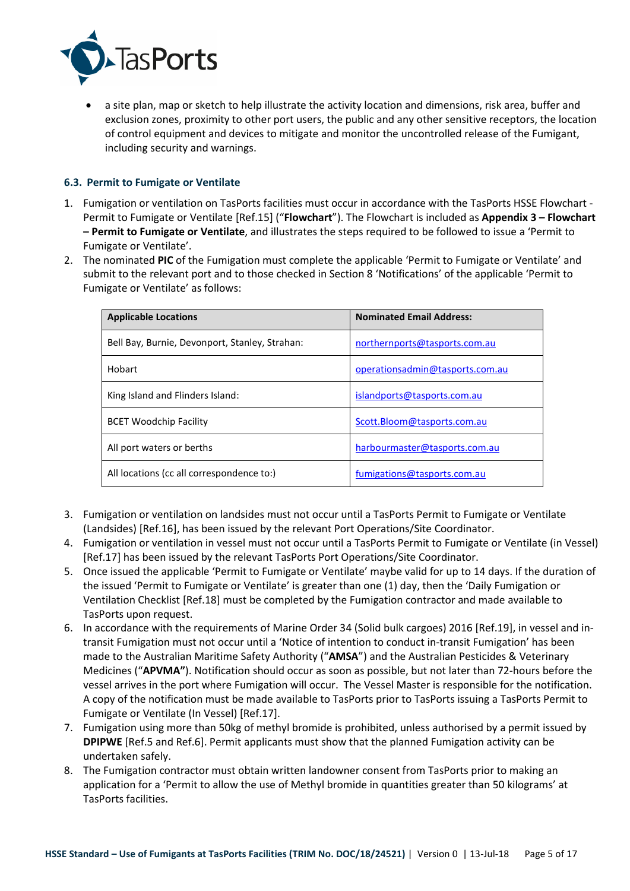

 a site plan, map or sketch to help illustrate the activity location and dimensions, risk area, buffer and exclusion zones, proximity to other port users, the public and any other sensitive receptors, the location of control equipment and devices to mitigate and monitor the uncontrolled release of the Fumigant, including security and warnings.

## **6.3. Permit to Fumigate or Ventilate**

- 1. Fumigation or ventilation on TasPorts facilities must occur in accordance with the TasPorts HSSE Flowchart Permit to Fumigate or Ventilate [Ref.15] ("**Flowchart**"). The Flowchart is included as **Appendix 3 – Flowchart – Permit to Fumigate or Ventilate**, and illustrates the steps required to be followed to issue a 'Permit to Fumigate or Ventilate'.
- 2. The nominated **PIC** of the Fumigation must complete the applicable 'Permit to Fumigate or Ventilate' and submit to the relevant port and to those checked in Section 8 'Notifications' of the applicable 'Permit to Fumigate or Ventilate' as follows:

| <b>Applicable Locations</b>                    | <b>Nominated Email Address:</b> |
|------------------------------------------------|---------------------------------|
| Bell Bay, Burnie, Devonport, Stanley, Strahan: | northernports@tasports.com.au   |
| Hobart                                         | operationsadmin@tasports.com.au |
| King Island and Flinders Island:               | islandports@tasports.com.au     |
| <b>BCET Woodchip Facility</b>                  | Scott.Bloom@tasports.com.au     |
| All port waters or berths                      | harbourmaster@tasports.com.au   |
| All locations (cc all correspondence to:)      | fumigations@tasports.com.au     |

- 3. Fumigation or ventilation on landsides must not occur until a TasPorts Permit to Fumigate or Ventilate (Landsides) [Ref.16], has been issued by the relevant Port Operations/Site Coordinator.
- 4. Fumigation or ventilation in vessel must not occur until a TasPorts Permit to Fumigate or Ventilate (in Vessel) [Ref.17] has been issued by the relevant TasPorts Port Operations/Site Coordinator.
- 5. Once issued the applicable 'Permit to Fumigate or Ventilate' maybe valid for up to 14 days. If the duration of the issued 'Permit to Fumigate or Ventilate' is greater than one (1) day, then the 'Daily Fumigation or Ventilation Checklist [Ref.18] must be completed by the Fumigation contractor and made available to TasPorts upon request.
- 6. In accordance with the requirements of Marine Order 34 (Solid bulk cargoes) 2016 [Ref.19], in vessel and intransit Fumigation must not occur until a 'Notice of intention to conduct in-transit Fumigation' has been made to the Australian Maritime Safety Authority ("**AMSA**") and the Australian Pesticides & Veterinary Medicines ("**APVMA"**). Notification should occur as soon as possible, but not later than 72-hours before the vessel arrives in the port where Fumigation will occur. The Vessel Master is responsible for the notification. A copy of the notification must be made available to TasPorts prior to TasPorts issuing a TasPorts Permit to Fumigate or Ventilate (In Vessel) [Ref.17].
- 7. Fumigation using more than 50kg of methyl bromide is prohibited, unless authorised by a permit issued by **DPIPWE** [Ref.5 and Ref.6]. Permit applicants must show that the planned Fumigation activity can be undertaken safely.
- 8. The Fumigation contractor must obtain written landowner consent from TasPorts prior to making an application for a 'Permit to allow the use of Methyl bromide in quantities greater than 50 kilograms' at TasPorts facilities.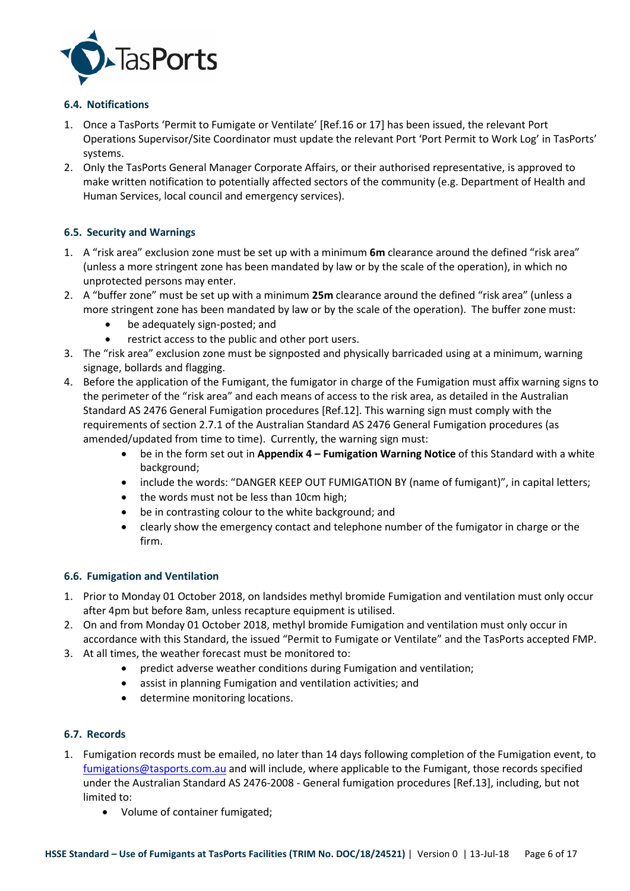

# **6.4. Notifications**

- 1. Once a TasPorts 'Permit to Fumigate or Ventilate' [Ref.16 or 17] has been issued, the relevant Port Operations Supervisor/Site Coordinator must update the relevant Port 'Port Permit to Work Log' in TasPorts' systems.
- 2. Only the TasPorts General Manager Corporate Affairs, or their authorised representative, is approved to make written notification to potentially affected sectors of the community (e.g. Department of Health and Human Services, local council and emergency services).

# **6.5. Security and Warnings**

- 1. A "risk area" exclusion zone must be set up with a minimum **6m** clearance around the defined "risk area" (unless a more stringent zone has been mandated by law or by the scale of the operation), in which no unprotected persons may enter.
- 2. A "buffer zone" must be set up with a minimum **25m** clearance around the defined "risk area" (unless a more stringent zone has been mandated by law or by the scale of the operation). The buffer zone must:
	- be adequately sign-posted; and
	- restrict access to the public and other port users.
- 3. The "risk area" exclusion zone must be signposted and physically barricaded using at a minimum, warning signage, bollards and flagging.
- 4. Before the application of the Fumigant, the fumigator in charge of the Fumigation must affix warning signs to the perimeter of the "risk area" and each means of access to the risk area, as detailed in the Australian Standard AS 2476 General Fumigation procedures [Ref.12]. This warning sign must comply with the requirements of section 2.7.1 of the Australian Standard AS 2476 General Fumigation procedures (as amended/updated from time to time). Currently, the warning sign must:
	- be in the form set out in **Appendix 4 Fumigation Warning Notice** of this Standard with a white background;
	- include the words: "DANGER KEEP OUT FUMIGATION BY (name of fumigant)", in capital letters;
	- the words must not be less than 10cm high;
	- be in contrasting colour to the white background; and
	- clearly show the emergency contact and telephone number of the fumigator in charge or the firm.

## **6.6. Fumigation and Ventilation**

- 1. Prior to Monday 01 October 2018, on landsides methyl bromide Fumigation and ventilation must only occur after 4pm but before 8am, unless recapture equipment is utilised.
- 2. On and from Monday 01 October 2018, methyl bromide Fumigation and ventilation must only occur in accordance with this Standard, the issued "Permit to Fumigate or Ventilate" and the TasPorts accepted FMP.
- 3. At all times, the weather forecast must be monitored to:
	- predict adverse weather conditions during Fumigation and ventilation;
	- assist in planning Fumigation and ventilation activities; and
	- determine monitoring locations.

## **6.7. Records**

- 1. Fumigation records must be emailed, no later than 14 days following completion of the Fumigation event, to fumigations@tasports.com.au and will include, where applicable to the Fumigant, those records specified under the Australian Standard AS 2476-2008 - General fumigation procedures [Ref.13], including, but not limited to:
	- Volume of container fumigated;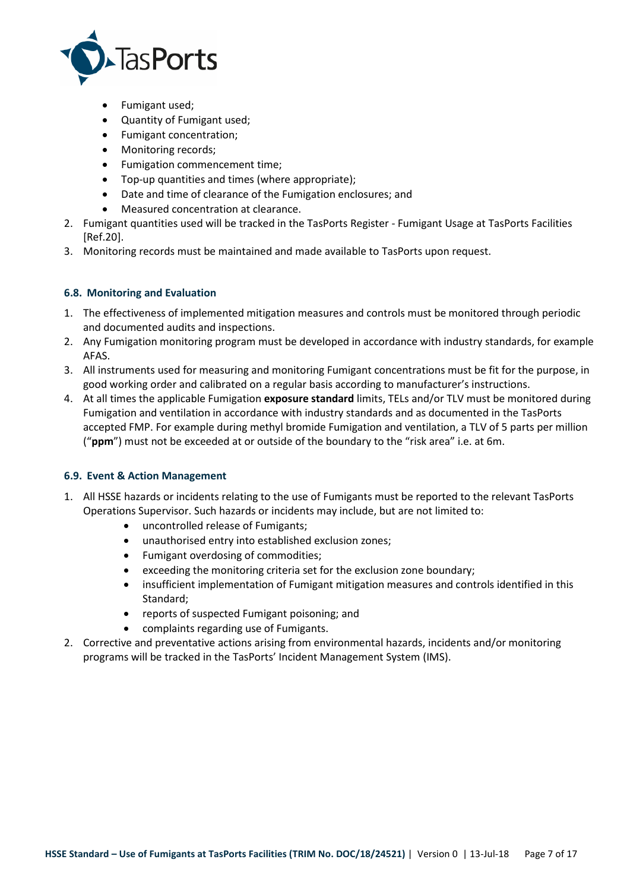

- Fumigant used;
- Quantity of Fumigant used;
- Fumigant concentration;
- Monitoring records;
- Fumigation commencement time;
- Top-up quantities and times (where appropriate);
- Date and time of clearance of the Fumigation enclosures; and
- Measured concentration at clearance.
- 2. Fumigant quantities used will be tracked in the TasPorts Register Fumigant Usage at TasPorts Facilities [Ref.20].
- 3. Monitoring records must be maintained and made available to TasPorts upon request.

# **6.8. Monitoring and Evaluation**

- 1. The effectiveness of implemented mitigation measures and controls must be monitored through periodic and documented audits and inspections.
- 2. Any Fumigation monitoring program must be developed in accordance with industry standards, for example AFAS.
- 3. All instruments used for measuring and monitoring Fumigant concentrations must be fit for the purpose, in good working order and calibrated on a regular basis according to manufacturer's instructions.
- 4. At all times the applicable Fumigation **exposure standard** limits, TELs and/or TLV must be monitored during Fumigation and ventilation in accordance with industry standards and as documented in the TasPorts accepted FMP. For example during methyl bromide Fumigation and ventilation, a TLV of 5 parts per million ("**ppm**") must not be exceeded at or outside of the boundary to the "risk area" i.e. at 6m.

## **6.9. Event & Action Management**

- 1. All HSSE hazards or incidents relating to the use of Fumigants must be reported to the relevant TasPorts Operations Supervisor. Such hazards or incidents may include, but are not limited to:
	- uncontrolled release of Fumigants;
	- unauthorised entry into established exclusion zones;
	- Fumigant overdosing of commodities;
	- exceeding the monitoring criteria set for the exclusion zone boundary;
	- insufficient implementation of Fumigant mitigation measures and controls identified in this Standard;
	- reports of suspected Fumigant poisoning; and
	- complaints regarding use of Fumigants.
- 2. Corrective and preventative actions arising from environmental hazards, incidents and/or monitoring programs will be tracked in the TasPorts' Incident Management System (IMS).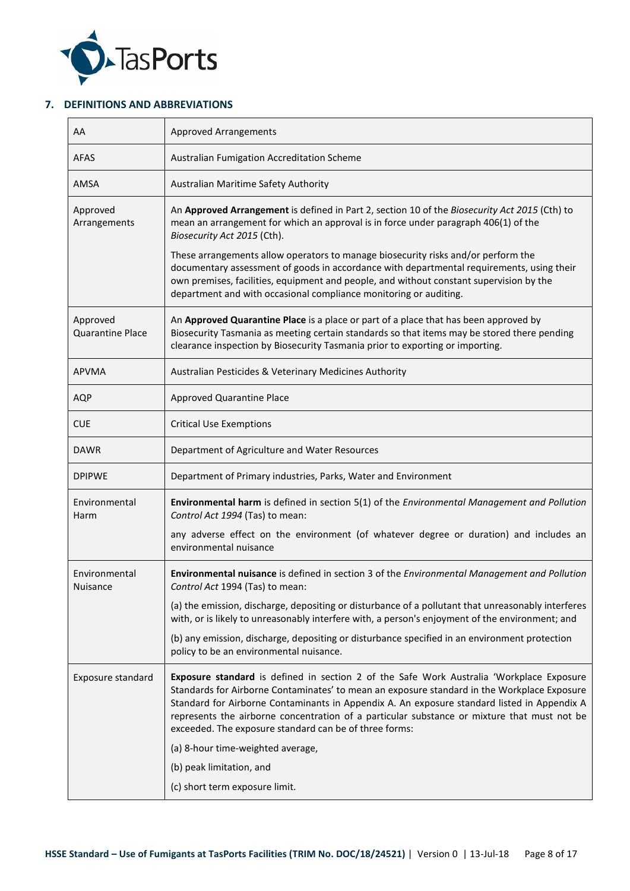

## **7. DEFINITIONS AND ABBREVIATIONS**

| AA                                  | <b>Approved Arrangements</b>                                                                                                                                                                                                                                                                                                                                                                                                                    |
|-------------------------------------|-------------------------------------------------------------------------------------------------------------------------------------------------------------------------------------------------------------------------------------------------------------------------------------------------------------------------------------------------------------------------------------------------------------------------------------------------|
| <b>AFAS</b>                         | Australian Fumigation Accreditation Scheme                                                                                                                                                                                                                                                                                                                                                                                                      |
| AMSA                                | Australian Maritime Safety Authority                                                                                                                                                                                                                                                                                                                                                                                                            |
| Approved<br>Arrangements            | An Approved Arrangement is defined in Part 2, section 10 of the Biosecurity Act 2015 (Cth) to<br>mean an arrangement for which an approval is in force under paragraph 406(1) of the<br>Biosecurity Act 2015 (Cth).                                                                                                                                                                                                                             |
|                                     | These arrangements allow operators to manage biosecurity risks and/or perform the<br>documentary assessment of goods in accordance with departmental requirements, using their<br>own premises, facilities, equipment and people, and without constant supervision by the<br>department and with occasional compliance monitoring or auditing.                                                                                                  |
| Approved<br><b>Quarantine Place</b> | An Approved Quarantine Place is a place or part of a place that has been approved by<br>Biosecurity Tasmania as meeting certain standards so that items may be stored there pending<br>clearance inspection by Biosecurity Tasmania prior to exporting or importing.                                                                                                                                                                            |
| <b>APVMA</b>                        | Australian Pesticides & Veterinary Medicines Authority                                                                                                                                                                                                                                                                                                                                                                                          |
| <b>AQP</b>                          | Approved Quarantine Place                                                                                                                                                                                                                                                                                                                                                                                                                       |
| <b>CUE</b>                          | <b>Critical Use Exemptions</b>                                                                                                                                                                                                                                                                                                                                                                                                                  |
| <b>DAWR</b>                         | Department of Agriculture and Water Resources                                                                                                                                                                                                                                                                                                                                                                                                   |
| <b>DPIPWE</b>                       | Department of Primary industries, Parks, Water and Environment                                                                                                                                                                                                                                                                                                                                                                                  |
| Environmental<br>Harm               | Environmental harm is defined in section 5(1) of the Environmental Management and Pollution<br>Control Act 1994 (Tas) to mean:                                                                                                                                                                                                                                                                                                                  |
|                                     | any adverse effect on the environment (of whatever degree or duration) and includes an<br>environmental nuisance                                                                                                                                                                                                                                                                                                                                |
| Environmental<br><b>Nuisance</b>    | Environmental nuisance is defined in section 3 of the Environmental Management and Pollution<br>Control Act 1994 (Tas) to mean:                                                                                                                                                                                                                                                                                                                 |
|                                     | (a) the emission, discharge, depositing or disturbance of a pollutant that unreasonably interferes<br>with, or is likely to unreasonably interfere with, a person's enjoyment of the environment; and                                                                                                                                                                                                                                           |
|                                     | (b) any emission, discharge, depositing or disturbance specified in an environment protection<br>policy to be an environmental nuisance.                                                                                                                                                                                                                                                                                                        |
| Exposure standard                   | Exposure standard is defined in section 2 of the Safe Work Australia 'Workplace Exposure<br>Standards for Airborne Contaminates' to mean an exposure standard in the Workplace Exposure<br>Standard for Airborne Contaminants in Appendix A. An exposure standard listed in Appendix A<br>represents the airborne concentration of a particular substance or mixture that must not be<br>exceeded. The exposure standard can be of three forms: |
|                                     | (a) 8-hour time-weighted average,                                                                                                                                                                                                                                                                                                                                                                                                               |
|                                     | (b) peak limitation, and                                                                                                                                                                                                                                                                                                                                                                                                                        |
|                                     | (c) short term exposure limit.                                                                                                                                                                                                                                                                                                                                                                                                                  |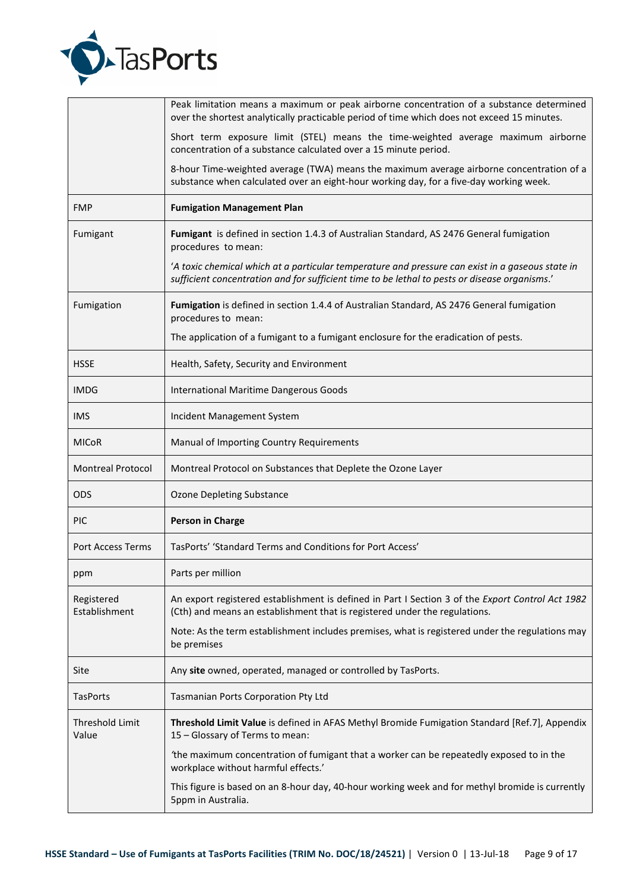

|                             | Peak limitation means a maximum or peak airborne concentration of a substance determined<br>over the shortest analytically practicable period of time which does not exceed 15 minutes.           |
|-----------------------------|---------------------------------------------------------------------------------------------------------------------------------------------------------------------------------------------------|
|                             | Short term exposure limit (STEL) means the time-weighted average maximum airborne<br>concentration of a substance calculated over a 15 minute period.                                             |
|                             | 8-hour Time-weighted average (TWA) means the maximum average airborne concentration of a<br>substance when calculated over an eight-hour working day, for a five-day working week.                |
| <b>FMP</b>                  | <b>Fumigation Management Plan</b>                                                                                                                                                                 |
| Fumigant                    | Fumigant is defined in section 1.4.3 of Australian Standard, AS 2476 General fumigation<br>procedures to mean:                                                                                    |
|                             | 'A toxic chemical which at a particular temperature and pressure can exist in a gaseous state in<br>sufficient concentration and for sufficient time to be lethal to pests or disease organisms.' |
| Fumigation                  | Fumigation is defined in section 1.4.4 of Australian Standard, AS 2476 General fumigation<br>procedures to mean:                                                                                  |
|                             | The application of a fumigant to a fumigant enclosure for the eradication of pests.                                                                                                               |
| <b>HSSE</b>                 | Health, Safety, Security and Environment                                                                                                                                                          |
| <b>IMDG</b>                 | International Maritime Dangerous Goods                                                                                                                                                            |
| <b>IMS</b>                  | Incident Management System                                                                                                                                                                        |
| <b>MICoR</b>                | Manual of Importing Country Requirements                                                                                                                                                          |
| <b>Montreal Protocol</b>    | Montreal Protocol on Substances that Deplete the Ozone Layer                                                                                                                                      |
| <b>ODS</b>                  | <b>Ozone Depleting Substance</b>                                                                                                                                                                  |
| PIC                         | Person in Charge                                                                                                                                                                                  |
| Port Access Terms           | TasPorts' 'Standard Terms and Conditions for Port Access'                                                                                                                                         |
| ppm                         | Parts per million                                                                                                                                                                                 |
| Registered<br>Establishment | An export registered establishment is defined in Part I Section 3 of the Export Control Act 1982<br>(Cth) and means an establishment that is registered under the regulations.                    |
|                             | Note: As the term establishment includes premises, what is registered under the regulations may<br>be premises                                                                                    |
| Site                        | Any site owned, operated, managed or controlled by TasPorts.                                                                                                                                      |
| <b>TasPorts</b>             | Tasmanian Ports Corporation Pty Ltd                                                                                                                                                               |
| Threshold Limit<br>Value    | Threshold Limit Value is defined in AFAS Methyl Bromide Fumigation Standard [Ref.7], Appendix<br>15 - Glossary of Terms to mean:                                                                  |
|                             | 'the maximum concentration of fumigant that a worker can be repeatedly exposed to in the<br>workplace without harmful effects.'                                                                   |
|                             | This figure is based on an 8-hour day, 40-hour working week and for methyl bromide is currently<br>5ppm in Australia.                                                                             |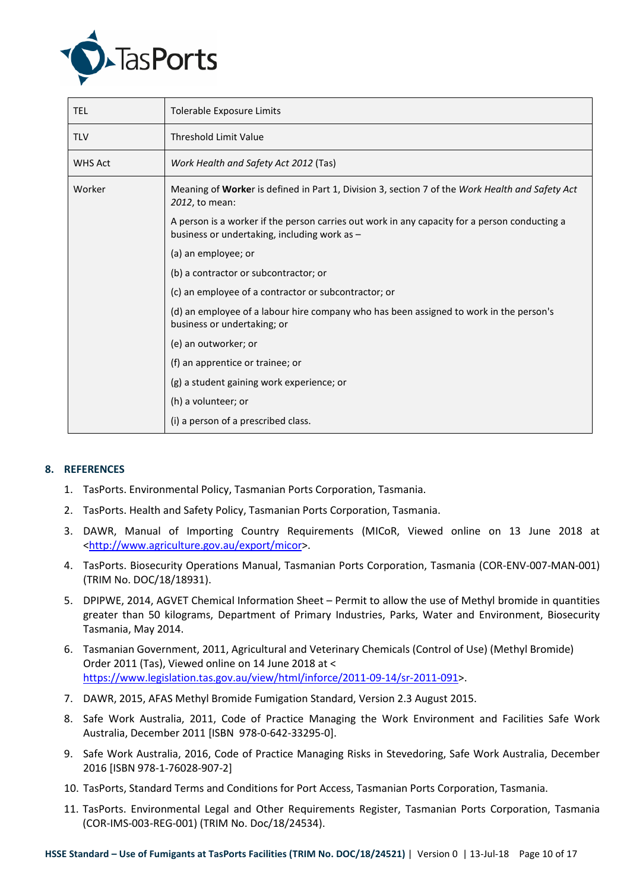

| <b>TEL</b> | Tolerable Exposure Limits                                                                                                                     |
|------------|-----------------------------------------------------------------------------------------------------------------------------------------------|
| <b>TLV</b> | <b>Threshold Limit Value</b>                                                                                                                  |
| WHS Act    | Work Health and Safety Act 2012 (Tas)                                                                                                         |
| Worker     | Meaning of Worker is defined in Part 1, Division 3, section 7 of the Work Health and Safety Act<br>2012, to mean:                             |
|            | A person is a worker if the person carries out work in any capacity for a person conducting a<br>business or undertaking, including work as - |
|            | (a) an employee; or                                                                                                                           |
|            | (b) a contractor or subcontractor; or                                                                                                         |
|            | (c) an employee of a contractor or subcontractor; or                                                                                          |
|            | (d) an employee of a labour hire company who has been assigned to work in the person's<br>business or undertaking; or                         |
|            | (e) an outworker; or                                                                                                                          |
|            | (f) an apprentice or trainee; or                                                                                                              |
|            | (g) a student gaining work experience; or                                                                                                     |
|            | (h) a volunteer; or                                                                                                                           |
|            | (i) a person of a prescribed class.                                                                                                           |

## **8. REFERENCES**

- 1. TasPorts. Environmental Policy, Tasmanian Ports Corporation, Tasmania.
- 2. TasPorts. Health and Safety Policy, Tasmanian Ports Corporation, Tasmania.
- 3. DAWR, Manual of Importing Country Requirements (MICoR, Viewed online on 13 June 2018 at <http://www.agriculture.gov.au/export/micor>.
- 4. TasPorts. Biosecurity Operations Manual, Tasmanian Ports Corporation, Tasmania (COR-ENV-007-MAN-001) (TRIM No. DOC/18/18931).
- 5. DPIPWE, 2014, AGVET Chemical Information Sheet Permit to allow the use of Methyl bromide in quantities greater than 50 kilograms, Department of Primary Industries, Parks, Water and Environment, Biosecurity Tasmania, May 2014.
- 6. Tasmanian Government, 2011, Agricultural and Veterinary Chemicals (Control of Use) (Methyl Bromide) Order 2011 (Tas), Viewed online on 14 June 2018 at < https://www.legislation.tas.gov.au/view/html/inforce/2011-09-14/sr-2011-091>.
- 7. DAWR, 2015, AFAS Methyl Bromide Fumigation Standard, Version 2.3 August 2015.
- 8. Safe Work Australia, 2011, Code of Practice Managing the Work Environment and Facilities Safe Work Australia, December 2011 [ISBN 978-0-642-33295-0].
- 9. Safe Work Australia, 2016, Code of Practice Managing Risks in Stevedoring, Safe Work Australia, December 2016 [ISBN 978-1-76028-907-2]
- 10. TasPorts, Standard Terms and Conditions for Port Access, Tasmanian Ports Corporation, Tasmania.
- 11. TasPorts. Environmental Legal and Other Requirements Register, Tasmanian Ports Corporation, Tasmania (COR-IMS-003-REG-001) (TRIM No. Doc/18/24534).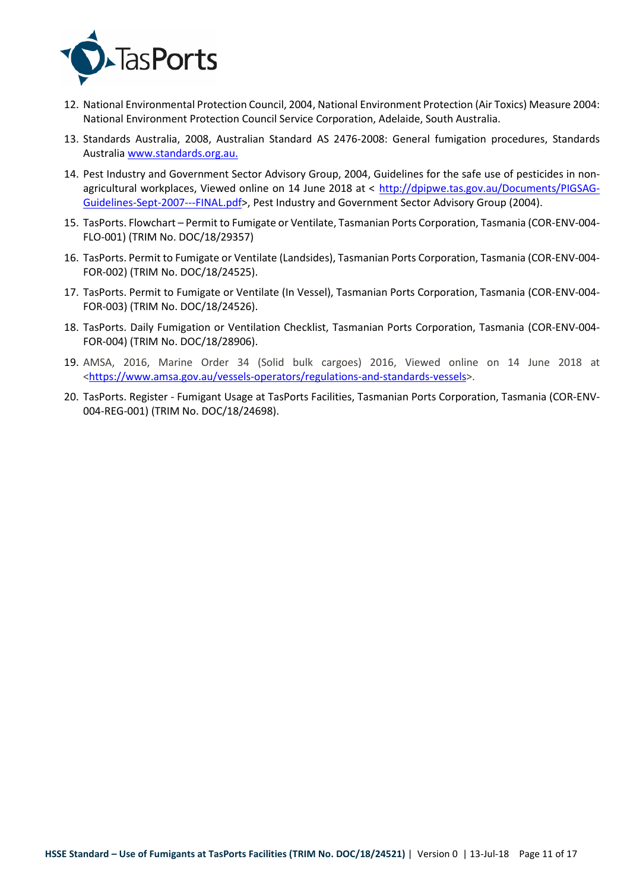

- 12. National Environmental Protection Council, 2004, National Environment Protection (Air Toxics) Measure 2004: National Environment Protection Council Service Corporation, Adelaide, South Australia.
- 13. Standards Australia, 2008, Australian Standard AS 2476-2008: General fumigation procedures, Standards Australia www.standards.org.au.
- 14. Pest Industry and Government Sector Advisory Group, 2004, Guidelines for the safe use of pesticides in nonagricultural workplaces, Viewed online on 14 June 2018 at < http://dpipwe.tas.gov.au/Documents/PIGSAG-Guidelines-Sept-2007---FINAL.pdf>, Pest Industry and Government Sector Advisory Group (2004).
- 15. TasPorts. Flowchart Permit to Fumigate or Ventilate, Tasmanian Ports Corporation, Tasmania (COR-ENV-004- FLO-001) (TRIM No. DOC/18/29357)
- 16. TasPorts. Permit to Fumigate or Ventilate (Landsides), Tasmanian Ports Corporation, Tasmania (COR-ENV-004- FOR-002) (TRIM No. DOC/18/24525).
- 17. TasPorts. Permit to Fumigate or Ventilate (In Vessel), Tasmanian Ports Corporation, Tasmania (COR-ENV-004- FOR-003) (TRIM No. DOC/18/24526).
- 18. TasPorts. Daily Fumigation or Ventilation Checklist, Tasmanian Ports Corporation, Tasmania (COR-ENV-004- FOR-004) (TRIM No. DOC/18/28906).
- 19. AMSA, 2016, Marine Order 34 (Solid bulk cargoes) 2016, Viewed online on 14 June 2018 at <https://www.amsa.gov.au/vessels-operators/regulations-and-standards-vessels>.
- 20. TasPorts. Register Fumigant Usage at TasPorts Facilities, Tasmanian Ports Corporation, Tasmania (COR-ENV-004-REG-001) (TRIM No. DOC/18/24698).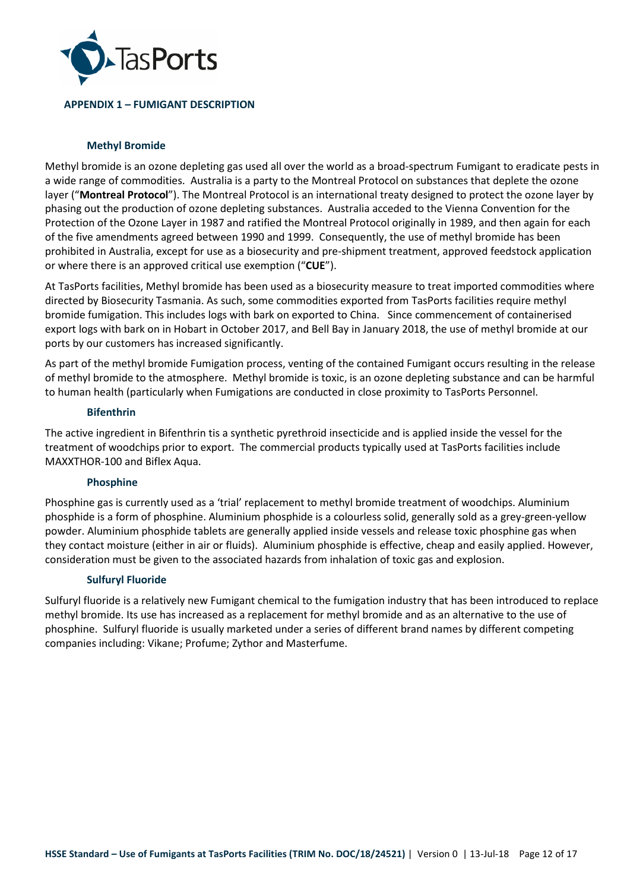

## **APPENDIX 1 – FUMIGANT DESCRIPTION**

## **Methyl Bromide**

Methyl bromide is an ozone depleting gas used all over the world as a broad-spectrum Fumigant to eradicate pests in a wide range of commodities. Australia is a party to the Montreal Protocol on substances that deplete the ozone layer ("**Montreal Protocol**"). The Montreal Protocol is an international treaty designed to protect the ozone layer by phasing out the production of ozone depleting substances. Australia acceded to the Vienna Convention for the Protection of the Ozone Layer in 1987 and ratified the Montreal Protocol originally in 1989, and then again for each of the five amendments agreed between 1990 and 1999. Consequently, the use of methyl bromide has been prohibited in Australia, except for use as a biosecurity and pre-shipment treatment, approved feedstock application or where there is an approved critical use exemption ("**CUE**").

At TasPorts facilities, Methyl bromide has been used as a biosecurity measure to treat imported commodities where directed by Biosecurity Tasmania. As such, some commodities exported from TasPorts facilities require methyl bromide fumigation. This includes logs with bark on exported to China. Since commencement of containerised export logs with bark on in Hobart in October 2017, and Bell Bay in January 2018, the use of methyl bromide at our ports by our customers has increased significantly.

As part of the methyl bromide Fumigation process, venting of the contained Fumigant occurs resulting in the release of methyl bromide to the atmosphere. Methyl bromide is toxic, is an ozone depleting substance and can be harmful to human health (particularly when Fumigations are conducted in close proximity to TasPorts Personnel.

### **Bifenthrin**

The active ingredient in Bifenthrin tis a synthetic pyrethroid insecticide and is applied inside the vessel for the treatment of woodchips prior to export. The commercial products typically used at TasPorts facilities include MAXXTHOR-100 and Biflex Aqua.

## **Phosphine**

Phosphine gas is currently used as a 'trial' replacement to methyl bromide treatment of woodchips. Aluminium phosphide is a form of phosphine. Aluminium phosphide is a colourless solid, generally sold as a grey-green-yellow powder. Aluminium phosphide tablets are generally applied inside vessels and release toxic phosphine gas when they contact moisture (either in air or fluids). Aluminium phosphide is effective, cheap and easily applied. However, consideration must be given to the associated hazards from inhalation of toxic gas and explosion.

## **Sulfuryl Fluoride**

Sulfuryl fluoride is a relatively new Fumigant chemical to the fumigation industry that has been introduced to replace methyl bromide. Its use has increased as a replacement for methyl bromide and as an alternative to the use of phosphine. Sulfuryl fluoride is usually marketed under a series of different brand names by different competing companies including: Vikane; Profume; Zythor and Masterfume.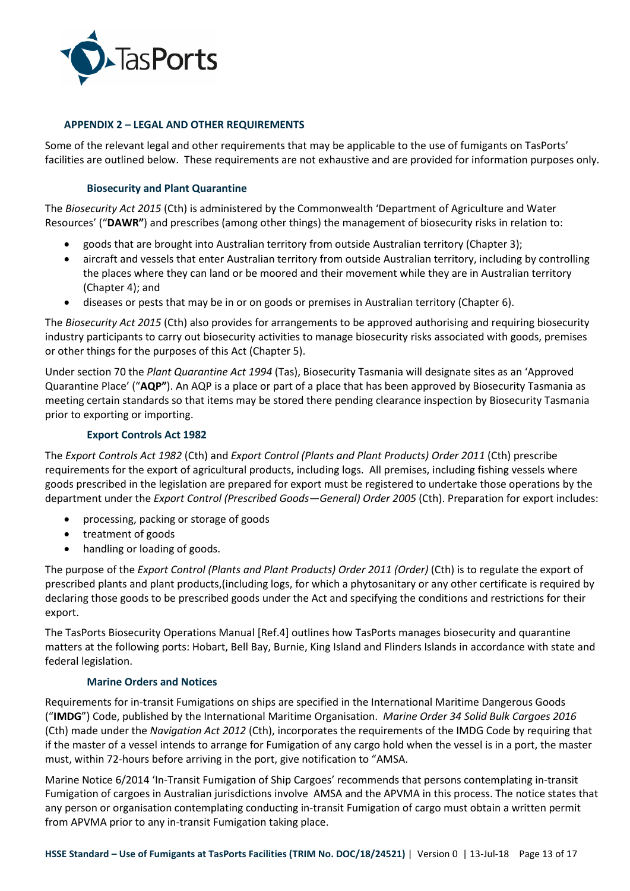

## **APPENDIX 2 – LEGAL AND OTHER REQUIREMENTS**

Some of the relevant legal and other requirements that may be applicable to the use of fumigants on TasPorts' facilities are outlined below. These requirements are not exhaustive and are provided for information purposes only.

## **Biosecurity and Plant Quarantine**

The *Biosecurity Act 2015* (Cth) is administered by the Commonwealth 'Department of Agriculture and Water Resources' ("**DAWR"**) and prescribes (among other things) the management of biosecurity risks in relation to:

- goods that are brought into Australian territory from outside Australian territory (Chapter 3);
- aircraft and vessels that enter Australian territory from outside Australian territory, including by controlling the places where they can land or be moored and their movement while they are in Australian territory (Chapter 4); and
- diseases or pests that may be in or on goods or premises in Australian territory (Chapter 6).

The *Biosecurity Act 2015* (Cth) also provides for arrangements to be approved authorising and requiring biosecurity industry participants to carry out biosecurity activities to manage biosecurity risks associated with goods, premises or other things for the purposes of this Act (Chapter 5).

Under section 70 the *Plant Quarantine Act 1994* (Tas), Biosecurity Tasmania will designate sites as an 'Approved Quarantine Place' ("**AQP"**). An AQP is a place or part of a place that has been approved by Biosecurity Tasmania as meeting certain standards so that items may be stored there pending clearance inspection by Biosecurity Tasmania prior to exporting or importing.

## **Export Controls Act 1982**

The *Export Controls Act 1982* (Cth) and *Export Control (Plants and Plant Products) Order 2011* (Cth) prescribe requirements for the export of agricultural products, including logs. All premises, including fishing vessels where goods prescribed in the legislation are prepared for export must be registered to undertake those operations by the department under the *Export Control (Prescribed Goods—General) Order 2005* (Cth). Preparation for export includes:

- processing, packing or storage of goods
- treatment of goods
- handling or loading of goods.

The purpose of the *Export Control (Plants and Plant Products) Order 2011 (Order)* (Cth) is to regulate the export of prescribed plants and plant products,(including logs, for which a phytosanitary or any other certificate is required by declaring those goods to be prescribed goods under the Act and specifying the conditions and restrictions for their export.

The TasPorts Biosecurity Operations Manual [Ref.4] outlines how TasPorts manages biosecurity and quarantine matters at the following ports: Hobart, Bell Bay, Burnie, King Island and Flinders Islands in accordance with state and federal legislation.

### **Marine Orders and Notices**

Requirements for in-transit Fumigations on ships are specified in the International Maritime Dangerous Goods ("**IMDG**") Code, published by the International Maritime Organisation. *Marine Order 34 Solid Bulk Cargoes 2016* (Cth) made under the *Navigation Act 2012* (Cth), incorporates the requirements of the IMDG Code by requiring that if the master of a vessel intends to arrange for Fumigation of any cargo hold when the vessel is in a port, the master must, within 72-hours before arriving in the port, give notification to "AMSA.

Marine Notice 6/2014 'In-Transit Fumigation of Ship Cargoes' recommends that persons contemplating in-transit Fumigation of cargoes in Australian jurisdictions involve AMSA and the APVMA in this process. The notice states that any person or organisation contemplating conducting in-transit Fumigation of cargo must obtain a written permit from APVMA prior to any in-transit Fumigation taking place.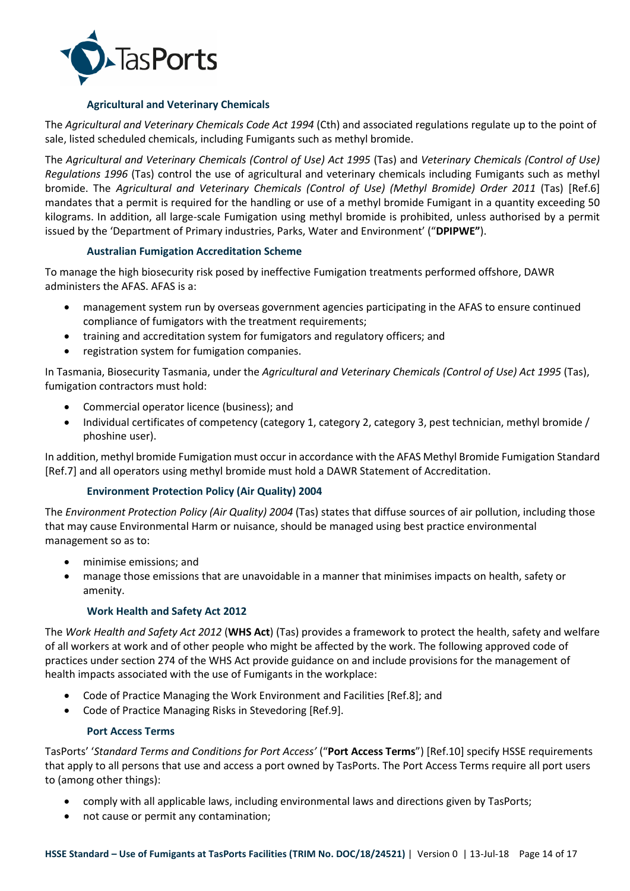

## **Agricultural and Veterinary Chemicals**

The *Agricultural and Veterinary Chemicals Code Act 1994* (Cth) and associated regulations regulate up to the point of sale, listed scheduled chemicals, including Fumigants such as methyl bromide.

The *Agricultural and Veterinary Chemicals (Control of Use) Act 1995* (Tas) and *Veterinary Chemicals (Control of Use) Regulations 1996* (Tas) control the use of agricultural and veterinary chemicals including Fumigants such as methyl bromide. The *Agricultural and Veterinary Chemicals (Control of Use) (Methyl Bromide) Order 2011* (Tas) [Ref.6] mandates that a permit is required for the handling or use of a methyl bromide Fumigant in a quantity exceeding 50 kilograms. In addition, all large-scale Fumigation using methyl bromide is prohibited, unless authorised by a permit issued by the 'Department of Primary industries, Parks, Water and Environment' ("**DPIPWE"**).

## **Australian Fumigation Accreditation Scheme**

To manage the high biosecurity risk posed by ineffective Fumigation treatments performed offshore, DAWR administers the AFAS. AFAS is a:

- management system run by overseas government agencies participating in the AFAS to ensure continued compliance of fumigators with the treatment requirements;
- training and accreditation system for fumigators and regulatory officers; and
- registration system for fumigation companies.

In Tasmania, Biosecurity Tasmania, under the *Agricultural and Veterinary Chemicals (Control of Use) Act 1995* (Tas), fumigation contractors must hold:

- Commercial operator licence (business); and
- Individual certificates of competency (category 1, category 2, category 3, pest technician, methyl bromide / phoshine user).

In addition, methyl bromide Fumigation must occur in accordance with the AFAS Methyl Bromide Fumigation Standard [Ref.7] and all operators using methyl bromide must hold a DAWR Statement of Accreditation.

## **Environment Protection Policy (Air Quality) 2004**

The *Environment Protection Policy (Air Quality) 2004* (Tas) states that diffuse sources of air pollution, including those that may cause Environmental Harm or nuisance, should be managed using best practice environmental management so as to:

- minimise emissions; and
- manage those emissions that are unavoidable in a manner that minimises impacts on health, safety or amenity.

## **Work Health and Safety Act 2012**

The *Work Health and Safety Act 2012* (**WHS Act**) (Tas) provides a framework to protect the health, safety and welfare of all workers at work and of other people who might be affected by the work. The following approved code of practices under section 274 of the WHS Act provide guidance on and include provisions for the management of health impacts associated with the use of Fumigants in the workplace:

- Code of Practice Managing the Work Environment and Facilities [Ref.8]; and
- Code of Practice Managing Risks in Stevedoring [Ref.9].

## **Port Access Terms**

TasPorts' '*Standard Terms and Conditions for Port Access'* ("**Port Access Terms**") [Ref.10] specify HSSE requirements that apply to all persons that use and access a port owned by TasPorts. The Port Access Terms require all port users to (among other things):

- comply with all applicable laws, including environmental laws and directions given by TasPorts;
- not cause or permit any contamination;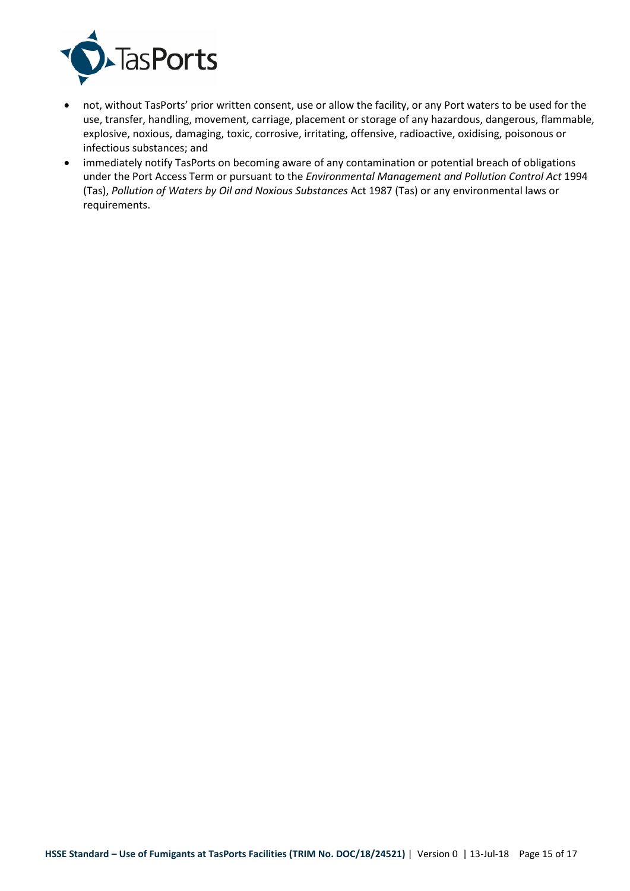

- not, without TasPorts' prior written consent, use or allow the facility, or any Port waters to be used for the use, transfer, handling, movement, carriage, placement or storage of any hazardous, dangerous, flammable, explosive, noxious, damaging, toxic, corrosive, irritating, offensive, radioactive, oxidising, poisonous or infectious substances; and
- immediately notify TasPorts on becoming aware of any contamination or potential breach of obligations under the Port Access Term or pursuant to the *Environmental Management and Pollution Control Act* 1994 (Tas), *Pollution of Waters by Oil and Noxious Substances* Act 1987 (Tas) or any environmental laws or requirements.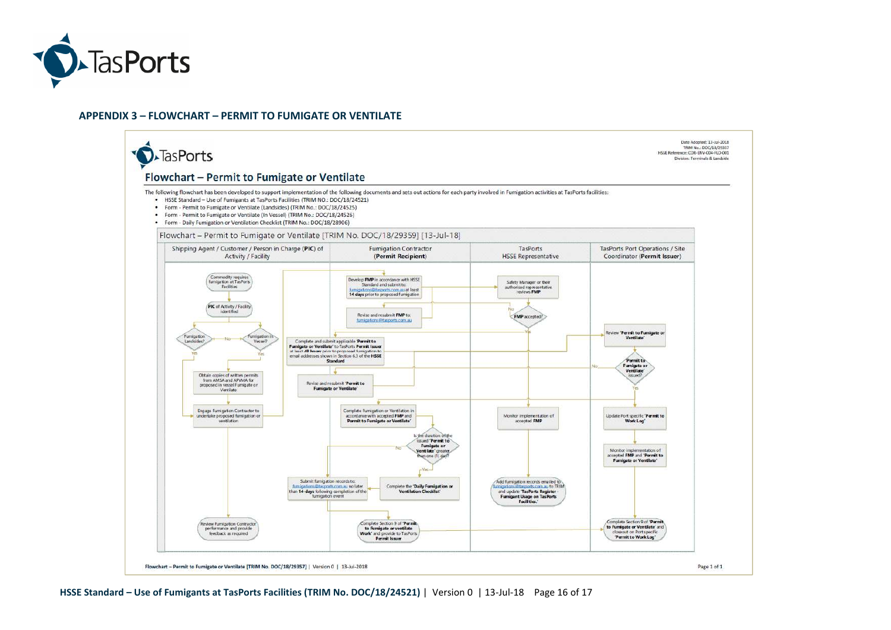

#### **APPENDIX 3 – FLOWCHART – PERMIT TO FUMIGATE OR VENTILATE**